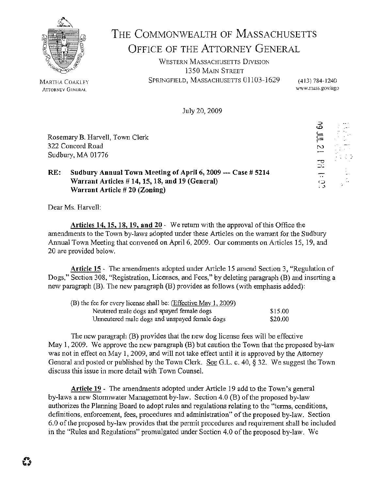

## THE COMMONWEALTH OF MASSACHUSETTS OFFICE OF THE ATTORNEY GENERAL

WESTERN MASSACHUSETTS DIVISION 1350 MAIN STREET SPRINGFIELD, MASSACHUSETTS 01103-1629 (413) 784-1240

w\vw.mass.gov/ago

10 H S1 H BH FC

July 20, 2009

Rosemary B. Harvell, Tovm Clerk 322 Concord Road Sudbury, MA 01776

## **RE:** Sudbury Annual Town Meeting of April 6, 2009 --- Case # 5214 **Warrant Articles# 14, 15, 18, and 19 (General) Warrant Article# 20 (Zoning)**

Dear Ms. Harvell:

**Articles 14, 15, 18, 19, and 20** - We return with the approval of this Office the amendments to the Town by-laws adopted under these Articles on the warrant for the Sudbury Annual Town Meeting that convened on April 6, 2009. Our comments on Articles 15, 19, and 20 are provided below.

Article 15 - The amendments adopted under Article 15 amend Section 3, "Regulation of Dogs," Section 308, "Registration, Licenses, and Fees," by deleting paragraph (B) and inserting a new paragraph  $(B)$ . The new paragraph  $(B)$  provides as follows (with emplasis added):

| (B) the fee for every license shall be: $(E\text{ffective May } 1, 2009)$ |         |
|---------------------------------------------------------------------------|---------|
| Neutered male dogs and spayed female dogs                                 | \$15.00 |
| Unneutered male dogs and unspayed female dogs                             | \$20.00 |

The new paragrapl1 (B) provides that the new dog license fees will be effective May 1, 2009. We approve the new paragraph  $(B)$  but caution the Town that the proposed by-law was not in effect on May 1, 2009, and will not take effect until it is approved by the Attorney General and posted or published by the Town Clerk. See G.L. c. 40, § 32. We suggest the Town discuss this issue in more detail with Town Counsel.

**Article 19** - The amendments adopted under Article 19 add to the Town's general by-laws a new Stormwater Management by-law. Section 4.0 (B) of the proposed by-law authorizes the Planning Board to adopt rules and regulations relating to the "terms, conditions, definitions, enforcement, fees, procedures and administration" of the proposed by-law. Section 6.0 of the proposed by-law provides that the permit procedures and requirement shall be included in the "Rules and Regulations" promulgated under Section 4.0 of the proposed by-law. We

MARTHA COAKLEY **ATTORNEY GENERAL**